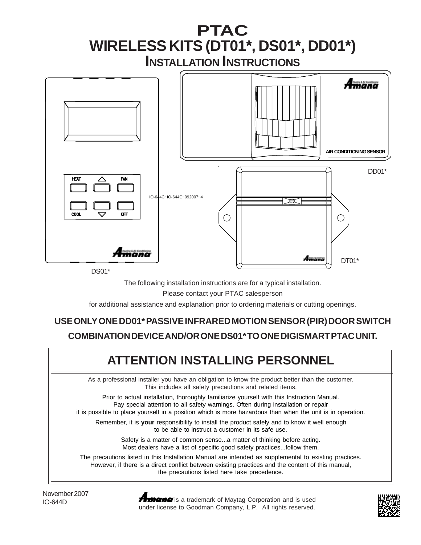# **PTAC WIRELESS KITS (DT01\*, DS01\*, DD01\*) INSTALLATION INSTRUCTIONS** nana **AIR CONDITIONING SENSOR** DD01\* **HEAT** FAN  $\triangle$ IO-644C~IO-644C~092007~4

Please contact your PTAC salesperson for additional assistance and explanation prior to ordering materials or cutting openings.

The following installation instructions are for a typical installation.

O

## **USE ONLY ONE DD01\* PASSIVE INFRARED MOTION SENSOR (PIR) DOOR SWITCH COMBINATION DEVICE AND/OR ONE DS01\* TO ONE DIGISMART PTAC UNIT.**

# **ATTENTION INSTALLING PERSONNEL**

As a professional installer you have an obligation to know the product better than the customer. This includes all safety precautions and related items.

Prior to actual installation, thoroughly familiarize yourself with this Instruction Manual. Pay special attention to all safety warnings. Often during installation or repair

it is possible to place yourself in a position which is more hazardous than when the unit is in operation.

Remember, it is **your** responsibility to install the product safely and to know it well enough to be able to instruct a customer in its safe use.

Safety is a matter of common sense...a matter of thinking before acting. Most dealers have a list of specific good safety practices...follow them.

The precautions listed in this Installation Manual are intended as supplemental to existing practices. However, if there is a direct conflict between existing practices and the content of this manual, the precautions listed here take precedence.

November 2007 IO-644D

DS01\*

OFF

mana

**COOL** 

**®** is a trademark of Maytag Corporation and is used under license to Goodman Company, L.P. All rights reserved.



DT01\*

C

Amana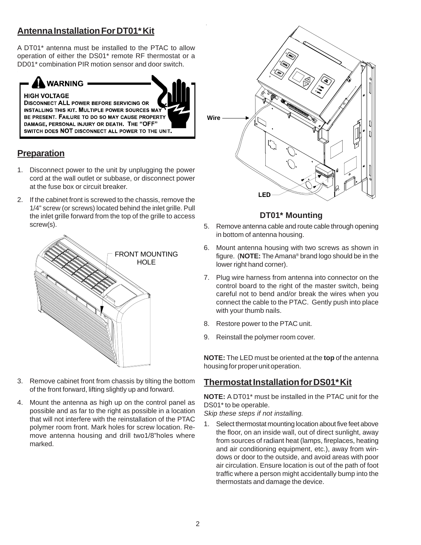### **Antenna Installation For DT01\* Kit**

A DT01\* antenna must be installed to the PTAC to allow operation of either the DS01\* remote RF thermostat or a DD01\* combination PIR motion sensor and door switch.



#### **Preparation**

- 1. Disconnect power to the unit by unplugging the power cord at the wall outlet or subbase, or disconnect power at the fuse box or circuit breaker.
- 2. If the cabinet front is screwed to the chassis, remove the 1/4" screw (or screws) located behind the inlet grille. Pull the inlet grille forward from the top of the grille to access screw(s).



- 3. Remove cabinet front from chassis by tilting the bottom of the front forward, lifting slightly up and forward.
- 4. Mount the antenna as high up on the control panel as possible and as far to the right as possible in a location that will not interfere with the reinstallation of the PTAC polymer room front. Mark holes for screw location. Remove antenna housing and drill two1/8"holes where marked.



#### **DT01\* Mounting**

- 5. Remove antenna cable and route cable through opening in bottom of antenna housing.
- 6. Mount antenna housing with two screws as shown in figure. (**NOTE:** The Amana® brand logo should be in the lower right hand corner).
- 7. Plug wire harness from antenna into connector on the control board to the right of the master switch, being careful not to bend and/or break the wires when you connect the cable to the PTAC. Gently push into place with your thumb nails.
- 8. Restore power to the PTAC unit.
- 9. Reinstall the polymer room cover.

**NOTE:** The LED must be oriented at the **top** of the antenna housing for proper unit operation.

#### **Thermostat Installation for DS01\* Kit**

**NOTE:** A DT01\* must be installed in the PTAC unit for the DS01\* to be operable.

*Skip these steps if not installing.*

1. Select thermostat mounting location about five feet above the floor, on an inside wall, out of direct sunlight, away from sources of radiant heat (lamps, fireplaces, heating and air conditioning equipment, etc.), away from windows or door to the outside, and avoid areas with poor air circulation. Ensure location is out of the path of foot traffic where a person might accidentally bump into the thermostats and damage the device.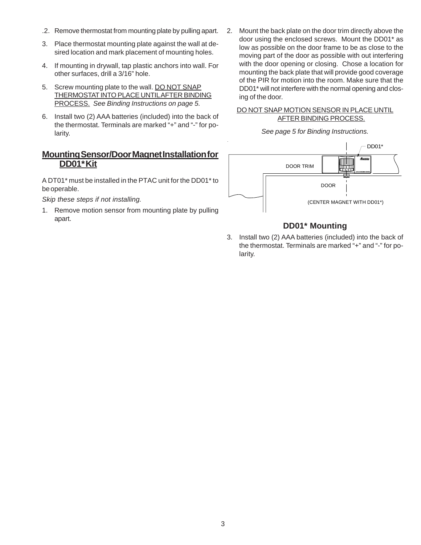- .2. Remove thermostat from mounting plate by pulling apart.
- 3. Place thermostat mounting plate against the wall at desired location and mark placement of mounting holes.
- 4. If mounting in drywall, tap plastic anchors into wall. For other surfaces, drill a 3/16" hole.
- 5. Screw mounting plate to the wall. DO NOT SNAP THERMOSTAT INTO PLACE UNTILAFTER BINDING PROCESS. *See Binding Instructions on page 5.*
- 6. Install two (2) AAA batteries (included) into the back of the thermostat. Terminals are marked "+" and "-" for polarity.

#### **Mounting Sensor/Door Magnet Installation for DD01\* Kit**

A DT01\* must be installed in the PTAC unit for the DD01\* to be operable.

*Skip these steps if not installing.*

1. Remove motion sensor from mounting plate by pulling apart.

2. Mount the back plate on the door trim directly above the door using the enclosed screws. Mount the DD01\* as low as possible on the door frame to be as close to the moving part of the door as possible with out interfering with the door opening or closing. Chose a location for mounting the back plate that will provide good coverage of the PIR for motion into the room. Make sure that the DD01\* will not interfere with the normal opening and closing of the door.

#### DO NOT SNAP MOTION SENSOR IN PLACE UNTIL AFTER BINDING PROCESS.

*See page 5 for Binding Instructions.*



#### **DD01\* Mounting**

3. Install two (2) AAA batteries (included) into the back of the thermostat. Terminals are marked "+" and "-" for polarity.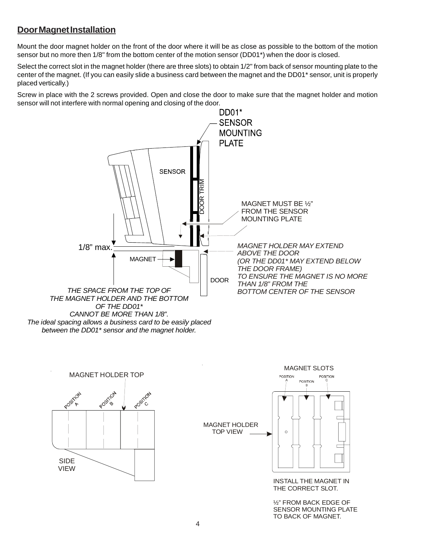#### **Door Magnet Installation**

Mount the door magnet holder on the front of the door where it will be as close as possible to the bottom of the motion sensor but no more then 1/8" from the bottom center of the motion sensor (DD01\*) when the door is closed.

Select the correct slot in the magnet holder (there are three slots) to obtain  $1/2$ " from back of sensor mounting plate to the center of the magnet. (If you can easily slide a business card between the magnet and the DD01\* sensor, unit is properly placed vertically.)

Screw in place with the 2 screws provided. Open and close the door to make sure that the magnet holder and motion sensor will not interfere with normal opening and closing of the door.





½" FROM BACK EDGE OF SENSOR MOUNTING PLATE TO BACK OF MAGNET.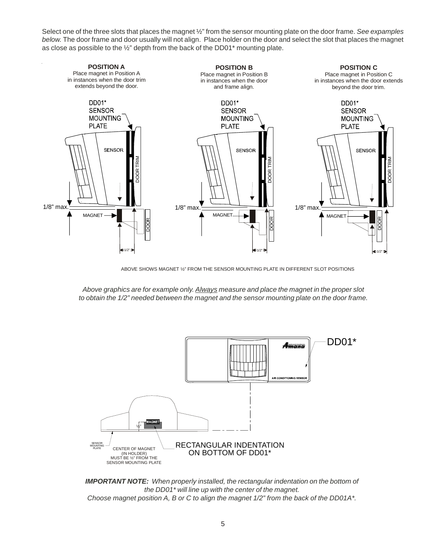Select one of the three slots that places the magnet ½" from the sensor mounting plate on the door frame. *See expamples below.* The door frame and door usually will not align. Place holder on the door and select the slot that places the magnet as close as possible to the ½" depth from the back of the DD01\* mounting plate.



ABOVE SHOWS MAGNET ½" FROM THE SENSOR MOUNTING PLATE IN DIFFERENT SLOT POSITIONS

*Above graphics are for example only. Always measure and place the magnet in the proper slot to obtain the 1/2" needed between the magnet and the sensor mounting plate on the door frame.*



*IMPORTANT NOTE: When properly installed, the rectangular indentation on the bottom of the DD01\* will line up with the center of the magnet. Choose magnet position A, B or C to align the magnet 1/2" from the back of the DD01A\*.*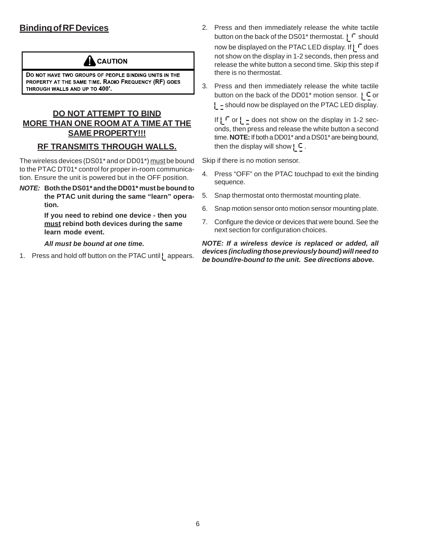

DO NOT HAVE TWO GROUPS OF PEOPLE BINDING UNITS IN THE PROPERTY AT THE SAME TIME. RADIO FREQUENCY (RF) GOES THROUGH WALLS AND UP TO 400'.

#### **DO NOT ATTEMPT TO BIND MORE THAN ONE ROOM AT A TIME AT THE SAME PROPERTY!!!**

#### **RF TRANSMITS THROUGH WALLS.**

The wireless devices (DS01\* and or DD01\*) must be bound to the PTAC DT01\* control for proper in-room communication. Ensure the unit is powered but in the OFF position.

*NOTE:* **Both the DS01\* and the DD01\* must be bound to the PTAC unit during the same "learn" operation.**

> **If you need to rebind one device - then you must rebind both devices during the same learn mode event.**

#### *All must be bound at one time.*

1. Press and hold off button on the PTAC until | appears.

- 2. Press and then immediately release the white tactile button on the back of the DS01\* thermostat.  $\mathbf{F}$  is should now be displayed on the PTAC LED display. If  $\mathsf{I}$   $\mathsf{I}$  does not show on the display in 1-2 seconds, then press and release the white button a second time. Skip this step if there is no thermostat.
- 3. Press and then immediately release the white tactile button on the back of the DD01\* motion sensor.  $\vert$   $\mathsf{\subseteq}$  or | - should now be displayed on the PTAC LED display.

If  $\lfloor \cdot \rfloor$  or  $\lfloor \cdot \rfloor$  does not show on the display in 1-2 seconds, then press and release the white button a second time. **NOTE:** If both a DD01\* and a DS01\* are being bound, then the display will show  $\vert \mathsf{C} \vert$ .

Skip if there is no motion sensor.

- 4. Press "OFF" on the PTAC touchpad to exit the binding sequence.
- 5. Snap thermostat onto thermostat mounting plate.
- 6. Snap motion sensor onto motion sensor mounting plate.
- 7. Configure the device or devices that were bound. See the next section for configuration choices.

*NOTE: If a wireless device is replaced or added, all devices (including those previously bound) will need to be bound/re-bound to the unit. See directions above.*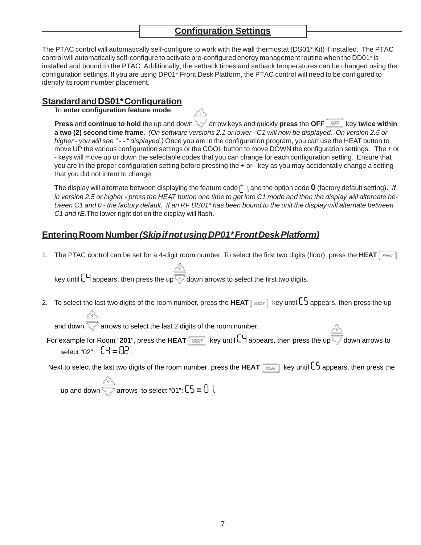#### **Configuration Settings**

The PTAC control will automatically self-configure to work with the wall thermostat (DS01\* Kit) if installed. The PTAC control will automatically self-configure to activate pre-configured energy management routine when the DD01\* is installed and bound to the PTAC. Additionally, the setback times and setback temperatures can be changed using the configuration settings. If you are using DP01\* Front Desk Platform, the PTAC control will need to be configured to identify its room number placement.

#### **Standard and DS01\* Configuration**

To **enter configuration feature mode**:

**Press** and **continue to hold** the up and down  $\sqrt{ }$  arrow keys and quickly **press** the **OFF**  $\boxed{$  *CFF*  $\sqrt{ }$  key twice within **a two (2) second time frame**. *(On software versions 2.1 or lower - C1 will now be displayed. On version 2.5 or higher - you will see " - - " displayed.)* Once you are in the configuration program, you can use the HEAT button to move UP the various configuration settings or the COOL button to move DOWN the configuration settings. The + or - keys will move up or down the selectable codes that you can change for each configuration setting. Ensure that you are in the proper configuration setting before pressing the + or - key as you may accidentally change a setting that you did not intent to change.

The display will alternate between displaying the feature code  $\Gamma$  | and the option code  $\theta$  (factory default setting). *If in version 2.5 or higher - press the HEAT button one time to get into C1 mode and then the display will alternate between C1 and 0 - the factory default. If an RF DS01\* has been bound to the unit the display will alternate between C1 and rE.*The lower right dot on the display will flash.

#### **Entering Room Number** *(Skip if not using DP01\* Front Desk Platform)*

1. The PTAC control can be set for a 4-digit room number. To select the first two digits (floor), press the **HEAT** 

key until  $L^2$  appears, then press the up  $\overline{\sqrt{\phantom{a}}\phantom{a}}$  down arrows to select the first two digits.

2. To select the last two digits of the room number, press the HEAT **FILE AT IN AUGAT** key until  $E_5$  appears, then press the up

and down  $\sqrt{2}$  arrows to select the last 2 digits of the room number.

For example for Room "201", press the HEAT **MEAT** key until  $L^4$  appears, then press the up  $\sqrt{2}$  down arrows to  $select "02" :  $[4] = 0.2$$ 

Next to select the last two digits of the room number, press the HEAT  $\sqrt{f}$ <sub>MEAT</sub> key until  $\mathsf{L}$  appears, then press the

up and down  $\overline{\Leftrightarrow}$  arrows to select "01":  $\overline{CS} = \overline{0}$  I.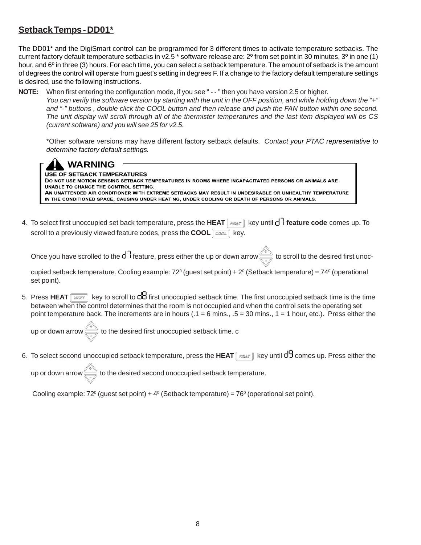#### **Setback Temps - DD01\***

The DD01\* and the DigiSmart control can be programmed for 3 different times to activate temperature setbacks. The current factory default temperature setbacks in v2.5 \* software release are: 2º from set point in 30 minutes, 3º in one (1) hour, and 6º in three (3) hours. For each time, you can select a setback temperature. The amount of setback is the amount of degrees the control will operate from guest's setting in degrees F. If a change to the factory default temperature settings is desired, use the following instructions.

**NOTE:** When first entering the configuration mode, if you see " - - " then you have version 2.5 or higher. *You can verify the software version by starting with the unit in the OFF position, and while holding down the "+" and "-" buttons , double click the COOL button and then release and push the FAN button within one second. The unit display will scroll through all of the thermister temperatures and the last item displayed will bs CS (current software) and you will see 25 for v2.5.*

\*Other software versions may have different factory setback defaults. *Contact your PTAC representative to determine factory default settings.*



4. To select first unoccupied set back temperature, press the HEAT **MEAT** key until **d**] feature code comes up. To scroll to a previously viewed feature codes, press the **COOL**  $\sqrt{\cos 2}$  key.

Once you have scrolled to the  $d^T$  feature, press either the up or down arrow  $\stackrel{\ell\ast\Diamond}{\Longleftrightarrow}$  to scroll to the desired first unoc-

cupied setback temperature. Cooling example: 72º (guest set point) + 2º (Setback temperature) = 74º (operational set point).

5. Press HEAT **FIGHT** key to scroll to do first unoccupied setback time. The first unoccupied setback time is the time between when the control determines that the room is not occupied and when the control sets the operating set point temperature back. The increments are in hours  $(.1 = 6 \text{ mins}$ ,  $.5 = 30 \text{ mins}$ ,  $1 = 1 \text{ hour}$ , etc.). Press either the

up or down arrow  $\leftarrow \atop \leftarrow$  to the desired first unoccupied setback time. c

6. To select second unoccupied setback temperature, press the HEAT **FILE AT ACCUPY** comes up. Press either the

up or down arrow  $\leftarrow \rightarrow$  to the desired second unoccupied setback temperature.

Cooling example:  $72^{\circ}$  (guest set point) +  $4^{\circ}$  (Setback temperature) =  $76^{\circ}$  (operational set point).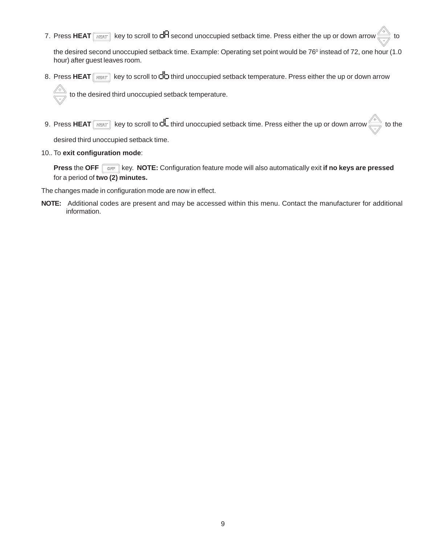7. Press HEAT  $\sqrt{\frac{mmax}{m}}$  key to scroll to d<sup>Q</sup> second unoccupied setback time. Press either the up or down arrow  $\frac{m}{m}$  to

the desired second unoccupied setback time. Example: Operating set point would be 76<sup>0</sup> instead of 72, one hour (1.0 hour) after guest leaves room.

8. Press HEAT **FIGERT** key to scroll to during third unoccupied setback temperature. Press either the up or down arrow



9. Press HEAT **HEAT key to scroll to due third unoccupied setback time. Press either the up or down arrow**  $\frac{48}{\sqrt{2}}$  **to the** 

desired third unoccupied setback time.

10.. To **exit configuration mode**:

**Press** the OFF  $\sqrt{\sqrt{np}}$  key. NOTE: Configuration feature mode will also automatically exit if no keys are pressed for a period of **two (2) minutes.**

The changes made in configuration mode are now in effect.

**NOTE:** Additional codes are present and may be accessed within this menu. Contact the manufacturer for additional information.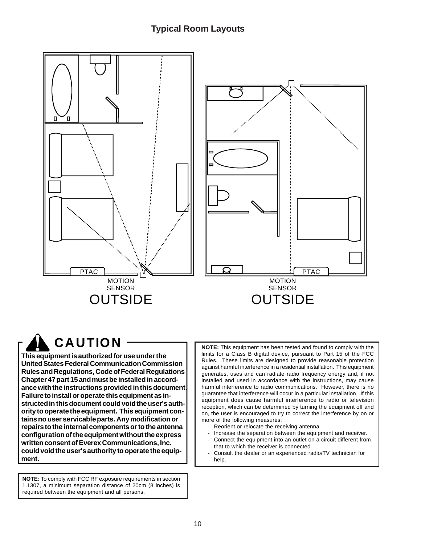#### **Typical Room Layouts**



# **CAUTION**

**This equipment is authorized for use under the United States Federal Communication Commission Rules and Regulations, Code of Federal Regulations Chapter 47 part 15 and must be installed in accordance with the instructions provided in this document. Failure to install or operate this equipment as instructed in this document could void the user's authority to operate the equipment. This equipment contains no user servicable parts. Any modification or repairs to the internal components or to the antenna configuration of the equipment without the express written consent of Everex Communications, Inc. could void the user's authority to operate the equipment.**

**NOTE:** To comply with FCC RF exposure requirements in section 1.1307, a minimum separation distance of 20cm (8 inches) is required between the equipment and all persons.

**NOTE:** This equipment has been tested and found to comply with the limits for a Class B digital device, pursuant to Part 15 of the FCC Rules. These limits are designed to provide reasonable protection against harmful interference in a residential installation. This equipment generates, uses and can radiate radio frequency energy and, if not installed and used in accordance with the instructions, may cause harmful interference to radio communications. However, there is no guarantee that interference will occur in a particular installation. If this equipment does cause harmful interference to radio or television reception, which can be determined by turning the equipment off and on, the user is encouraged to try to correct the interference by on or more of the following measures:

- Reorient or relocate the receiving antenna.
- Increase the separation between the equipment and receiver.
- Connect the equipment into an outlet on a circuit different from that to which the receiver is connected.
- Consult the dealer or an experienced radio/TV technician for help.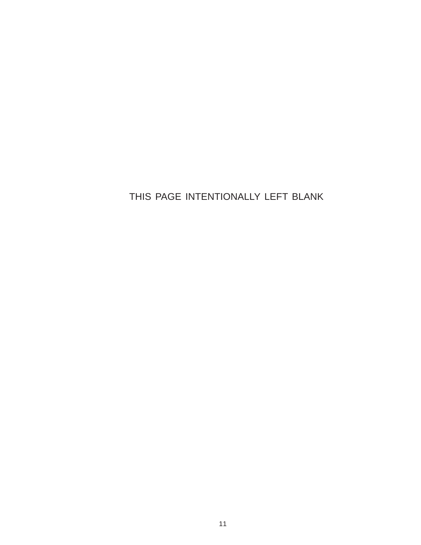### THIS PAGE INTENTIONALLY LEFT BLANK